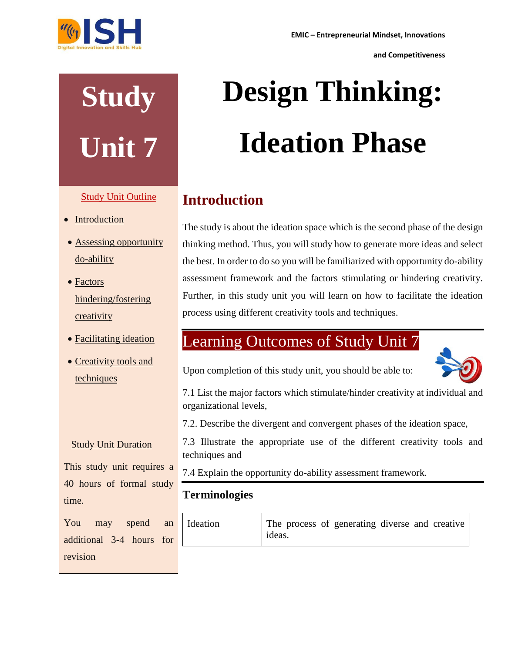

# **Study Unit 7**

# Study Unit Outline

- Introduction
- Assessing opportunity do-ability
- Factors hindering/fostering creativity
- Facilitating ideation
- Creativity tools and techniques

# Study Unit Duration

This study unit requires a 40 hours of formal study time.

You may spend an additional 3-4 hours for revision

# **Design Thinking: Ideation Phase**

# **Introduction**

The study is about the ideation space which is the second phase of the design thinking method. Thus, you will study how to generate more ideas and select the best. In order to do so you will be familiarized with opportunity do-ability assessment framework and the factors stimulating or hindering creativity. Further, in this study unit you will learn on how to facilitate the ideation process using different creativity tools and techniques.

# Learning Outcomes of Study Unit 7

Upon completion of this study unit, you should be able to:



7.1 List the major factors which stimulate/hinder creativity at individual and organizational levels,

7.2. Describe the divergent and convergent phases of the ideation space,

7.3 Illustrate the appropriate use of the different creativity tools and techniques and

7.4 Explain the opportunity do-ability assessment framework.

# **Terminologies**

| Ideation | The process of generating diverse and creative<br>ideas. |
|----------|----------------------------------------------------------|
|----------|----------------------------------------------------------|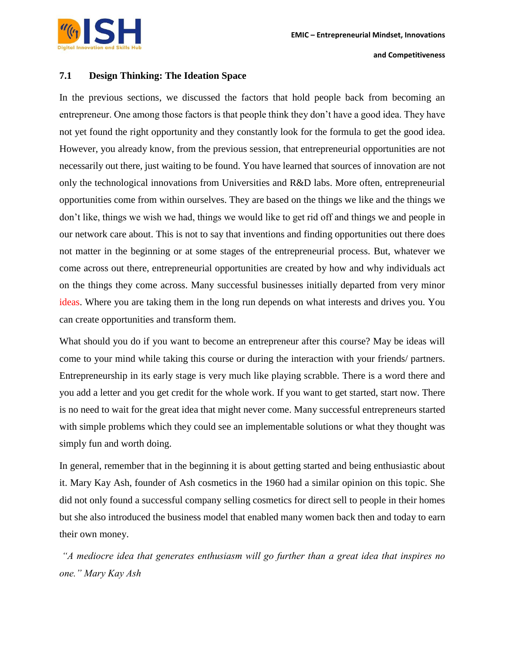

### **7.1 Design Thinking: The Ideation Space**

In the previous sections, we discussed the factors that hold people back from becoming an entrepreneur. One among those factors is that people think they don't have a good idea. They have not yet found the right opportunity and they constantly look for the formula to get the good idea. However, you already know, from the previous session, that entrepreneurial opportunities are not necessarily out there, just waiting to be found. You have learned that sources of innovation are not only the technological innovations from Universities and R&D labs. More often, entrepreneurial opportunities come from within ourselves. They are based on the things we like and the things we don't like, things we wish we had, things we would like to get rid off and things we and people in our network care about. This is not to say that inventions and finding opportunities out there does not matter in the beginning or at some stages of the entrepreneurial process. But, whatever we come across out there, entrepreneurial opportunities are created by how and why individuals act on the things they come across. Many successful businesses initially departed from very minor ideas. Where you are taking them in the long run depends on what interests and drives you. You can create opportunities and transform them.

What should you do if you want to become an entrepreneur after this course? May be ideas will come to your mind while taking this course or during the interaction with your friends/ partners. Entrepreneurship in its early stage is very much like playing scrabble. There is a word there and you add a letter and you get credit for the whole work. If you want to get started, start now. There is no need to wait for the great idea that might never come. Many successful entrepreneurs started with simple problems which they could see an implementable solutions or what they thought was simply fun and worth doing.

In general, remember that in the beginning it is about getting started and being enthusiastic about it. Mary Kay Ash, founder of Ash cosmetics in the 1960 had a similar opinion on this topic. She did not only found a successful company selling cosmetics for direct sell to people in their homes but she also introduced the business model that enabled many women back then and today to earn their own money.

*"A mediocre idea that generates enthusiasm will go further than a great idea that inspires no one." Mary Kay Ash*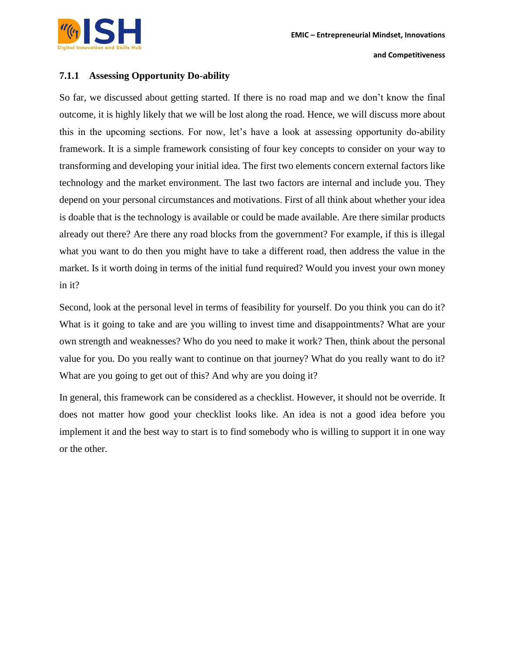# **7.1.1 Assessing Opportunity Do-ability**

So far, we discussed about getting started. If there is no road map and we don't know the final outcome, it is highly likely that we will be lost along the road. Hence, we will discuss more about this in the upcoming sections. For now, let's have a look at assessing opportunity do-ability framework. It is a simple framework consisting of four key concepts to consider on your way to transforming and developing your initial idea. The first two elements concern external factors like technology and the market environment. The last two factors are internal and include you. They depend on your personal circumstances and motivations. First of all think about whether your idea is doable that is the technology is available or could be made available. Are there similar products already out there? Are there any road blocks from the government? For example, if this is illegal what you want to do then you might have to take a different road, then address the value in the market. Is it worth doing in terms of the initial fund required? Would you invest your own money in it?

Second, look at the personal level in terms of feasibility for yourself. Do you think you can do it? What is it going to take and are you willing to invest time and disappointments? What are your own strength and weaknesses? Who do you need to make it work? Then, think about the personal value for you. Do you really want to continue on that journey? What do you really want to do it? What are you going to get out of this? And why are you doing it?

In general, this framework can be considered as a checklist. However, it should not be override. It does not matter how good your checklist looks like. An idea is not a good idea before you implement it and the best way to start is to find somebody who is willing to support it in one way or the other.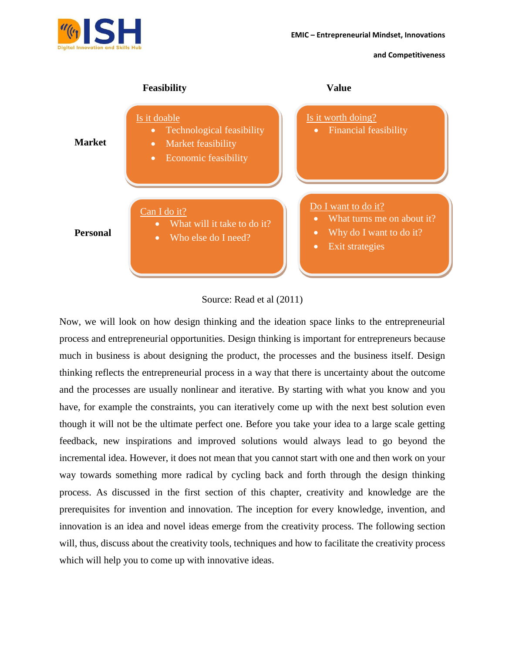

Source: Read et al (2011)

Now, we will look on how design thinking and the ideation space links to the entrepreneurial process and entrepreneurial opportunities. Design thinking is important for entrepreneurs because much in business is about designing the product, the processes and the business itself. Design thinking reflects the entrepreneurial process in a way that there is uncertainty about the outcome and the processes are usually nonlinear and iterative. By starting with what you know and you have, for example the constraints, you can iteratively come up with the next best solution even though it will not be the ultimate perfect one. Before you take your idea to a large scale getting feedback, new inspirations and improved solutions would always lead to go beyond the incremental idea. However, it does not mean that you cannot start with one and then work on your way towards something more radical by cycling back and forth through the design thinking process. As discussed in the first section of this chapter, creativity and knowledge are the prerequisites for invention and innovation. The inception for every knowledge, invention, and innovation is an idea and novel ideas emerge from the creativity process. The following section will, thus, discuss about the creativity tools, techniques and how to facilitate the creativity process which will help you to come up with innovative ideas.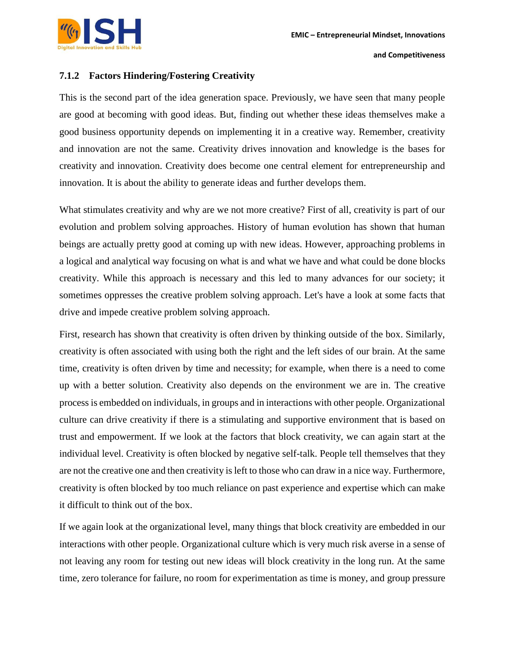# **7.1.2 Factors Hindering/Fostering Creativity**

This is the second part of the idea generation space. Previously, we have seen that many people are good at becoming with good ideas. But, finding out whether these ideas themselves make a good business opportunity depends on implementing it in a creative way. Remember, creativity and innovation are not the same. Creativity drives innovation and knowledge is the bases for creativity and innovation. Creativity does become one central element for entrepreneurship and innovation. It is about the ability to generate ideas and further develops them.

What stimulates creativity and why are we not more creative? First of all, creativity is part of our evolution and problem solving approaches. History of human evolution has shown that human beings are actually pretty good at coming up with new ideas. However, approaching problems in a logical and analytical way focusing on what is and what we have and what could be done blocks creativity. While this approach is necessary and this led to many advances for our society; it sometimes oppresses the creative problem solving approach. Let's have a look at some facts that drive and impede creative problem solving approach.

First, research has shown that creativity is often driven by thinking outside of the box. Similarly, creativity is often associated with using both the right and the left sides of our brain. At the same time, creativity is often driven by time and necessity; for example, when there is a need to come up with a better solution. Creativity also depends on the environment we are in. The creative process is embedded on individuals, in groups and in interactions with other people. Organizational culture can drive creativity if there is a stimulating and supportive environment that is based on trust and empowerment. If we look at the factors that block creativity, we can again start at the individual level. Creativity is often blocked by negative self-talk. People tell themselves that they are not the creative one and then creativity is left to those who can draw in a nice way. Furthermore, creativity is often blocked by too much reliance on past experience and expertise which can make it difficult to think out of the box.

If we again look at the organizational level, many things that block creativity are embedded in our interactions with other people. Organizational culture which is very much risk averse in a sense of not leaving any room for testing out new ideas will block creativity in the long run. At the same time, zero tolerance for failure, no room for experimentation as time is money, and group pressure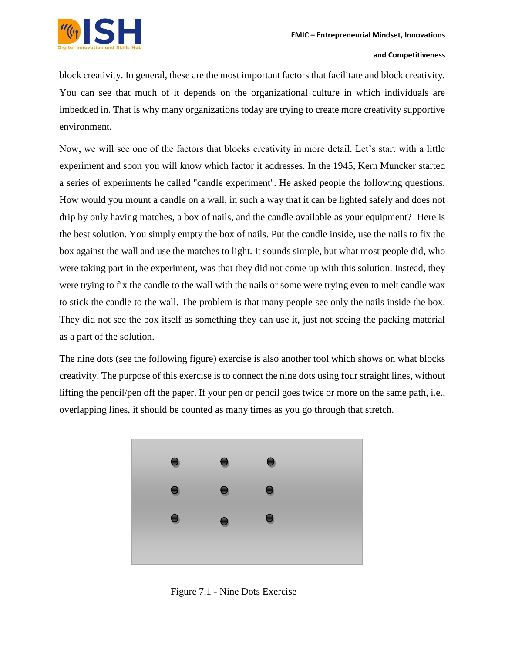

block creativity. In general, these are the most important factors that facilitate and block creativity. You can see that much of it depends on the organizational culture in which individuals are imbedded in. That is why many organizations today are trying to create more creativity supportive environment.

Now, we will see one of the factors that blocks creativity in more detail. Let's start with a little experiment and soon you will know which factor it addresses. In the 1945, Kern Muncker started a series of experiments he called ''candle experiment''. He asked people the following questions. How would you mount a candle on a wall, in such a way that it can be lighted safely and does not drip by only having matches, a box of nails, and the candle available as your equipment? Here is the best solution. You simply empty the box of nails. Put the candle inside, use the nails to fix the box against the wall and use the matches to light. It sounds simple, but what most people did, who were taking part in the experiment, was that they did not come up with this solution. Instead, they were trying to fix the candle to the wall with the nails or some were trying even to melt candle wax to stick the candle to the wall. The problem is that many people see only the nails inside the box. They did not see the box itself as something they can use it, just not seeing the packing material as a part of the solution.

The nine dots (see the following figure) exercise is also another tool which shows on what blocks creativity. The purpose of this exercise is to connect the nine dots using four straight lines, without lifting the pencil/pen off the paper. If your pen or pencil goes twice or more on the same path, i.e., overlapping lines, it should be counted as many times as you go through that stretch.



Figure 7.1 - Nine Dots Exercise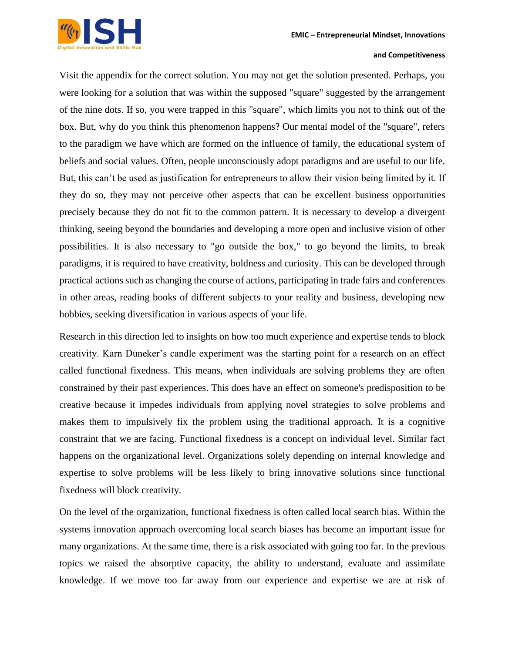

Visit the appendix for the correct solution. You may not get the solution presented. Perhaps, you were looking for a solution that was within the supposed "square" suggested by the arrangement of the nine dots. If so, you were trapped in this "square", which limits you not to think out of the box. But, why do you think this phenomenon happens? Our mental model of the "square", refers to the paradigm we have which are formed on the influence of family, the educational system of beliefs and social values. Often, people unconsciously adopt paradigms and are useful to our life. But, this can't be used as justification for entrepreneurs to allow their vision being limited by it. If they do so, they may not perceive other aspects that can be excellent business opportunities precisely because they do not fit to the common pattern. It is necessary to develop a divergent thinking, seeing beyond the boundaries and developing a more open and inclusive vision of other possibilities. It is also necessary to "go outside the box," to go beyond the limits, to break paradigms, it is required to have creativity, boldness and curiosity. This can be developed through practical actions such as changing the course of actions, participating in trade fairs and conferences in other areas, reading books of different subjects to your reality and business, developing new hobbies, seeking diversification in various aspects of your life.

Research in this direction led to insights on how too much experience and expertise tends to block creativity. Karn Duneker's candle experiment was the starting point for a research on an effect called functional fixedness. This means, when individuals are solving problems they are often constrained by their past experiences. This does have an effect on someone's predisposition to be creative because it impedes individuals from applying novel strategies to solve problems and makes them to impulsively fix the problem using the traditional approach. It is a cognitive constraint that we are facing. Functional fixedness is a concept on individual level. Similar fact happens on the organizational level. Organizations solely depending on internal knowledge and expertise to solve problems will be less likely to bring innovative solutions since functional fixedness will block creativity.

On the level of the organization, functional fixedness is often called local search bias. Within the systems innovation approach overcoming local search biases has become an important issue for many organizations. At the same time, there is a risk associated with going too far. In the previous topics we raised the absorptive capacity, the ability to understand, evaluate and assimilate knowledge. If we move too far away from our experience and expertise we are at risk of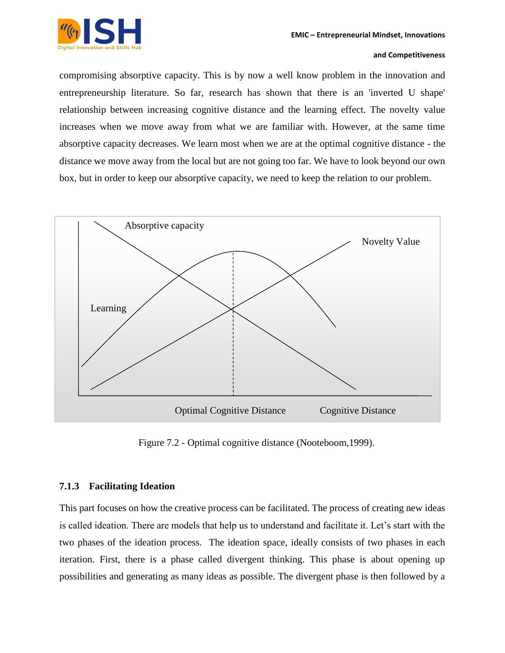

compromising absorptive capacity. This is by now a well know problem in the innovation and entrepreneurship literature. So far, research has shown that there is an 'inverted U shape' relationship between increasing cognitive distance and the learning effect. The novelty value increases when we move away from what we are familiar with. However, at the same time absorptive capacity decreases. We learn most when we are at the optimal cognitive distance - the distance we move away from the local but are not going too far. We have to look beyond our own box, but in order to keep our absorptive capacity, we need to keep the relation to our problem.



Figure 7.2 - Optimal cognitive distance (Nooteboom,1999).

## **7.1.3 Facilitating Ideation**

This part focuses on how the creative process can be facilitated. The process of creating new ideas is called ideation. There are models that help us to understand and facilitate it. Let's start with the two phases of the ideation process. The ideation space, ideally consists of two phases in each iteration. First, there is a phase called divergent thinking. This phase is about opening up possibilities and generating as many ideas as possible. The divergent phase is then followed by a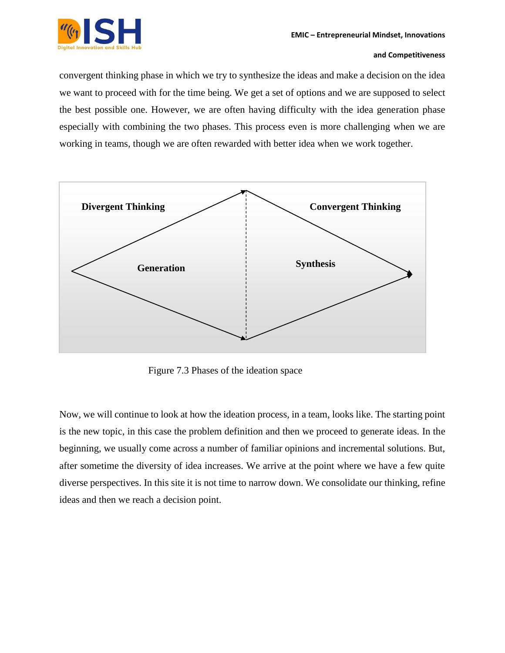convergent thinking phase in which we try to synthesize the ideas and make a decision on the idea we want to proceed with for the time being. We get a set of options and we are supposed to select the best possible one. However, we are often having difficulty with the idea generation phase especially with combining the two phases. This process even is more challenging when we are working in teams, though we are often rewarded with better idea when we work together.



Figure 7.3 Phases of the ideation space

Now, we will continue to look at how the ideation process, in a team, looks like. The starting point is the new topic, in this case the problem definition and then we proceed to generate ideas. In the beginning, we usually come across a number of familiar opinions and incremental solutions. But, after sometime the diversity of idea increases. We arrive at the point where we have a few quite diverse perspectives. In this site it is not time to narrow down. We consolidate our thinking, refine ideas and then we reach a decision point.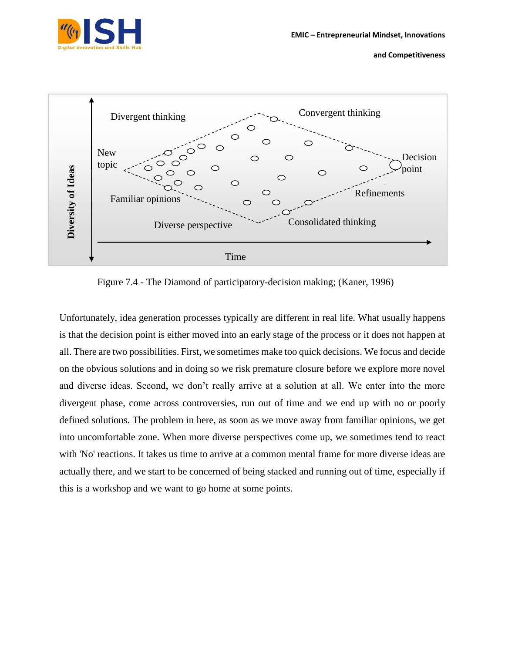



Figure 7.4 - The Diamond of participatory-decision making; (Kaner, 1996)

Unfortunately, idea generation processes typically are different in real life. What usually happens is that the decision point is either moved into an early stage of the process or it does not happen at all. There are two possibilities. First, we sometimes make too quick decisions. We focus and decide on the obvious solutions and in doing so we risk premature closure before we explore more novel and diverse ideas. Second, we don't really arrive at a solution at all. We enter into the more divergent phase, come across controversies, run out of time and we end up with no or poorly defined solutions. The problem in here, as soon as we move away from familiar opinions, we get into uncomfortable zone. When more diverse perspectives come up, we sometimes tend to react with 'No' reactions. It takes us time to arrive at a common mental frame for more diverse ideas are actually there, and we start to be concerned of being stacked and running out of time, especially if this is a workshop and we want to go home at some points.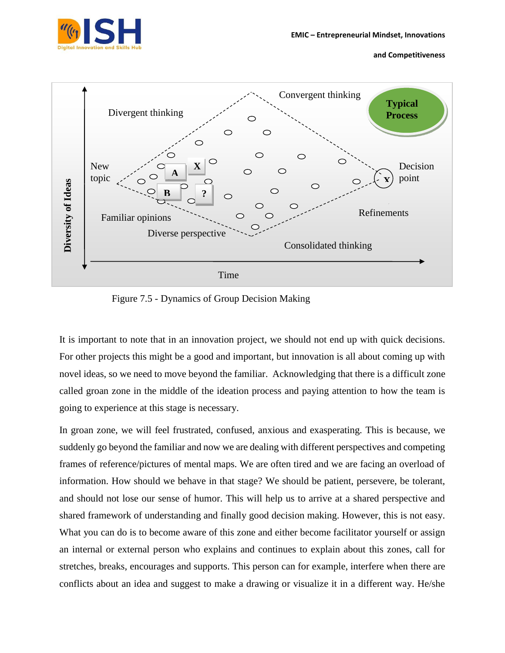



Figure 7.5 - Dynamics of Group Decision Making

It is important to note that in an innovation project, we should not end up with quick decisions. For other projects this might be a good and important, but innovation is all about coming up with novel ideas, so we need to move beyond the familiar. Acknowledging that there is a difficult zone called groan zone in the middle of the ideation process and paying attention to how the team is going to experience at this stage is necessary.

In groan zone, we will feel frustrated, confused, anxious and exasperating. This is because, we suddenly go beyond the familiar and now we are dealing with different perspectives and competing frames of reference/pictures of mental maps. We are often tired and we are facing an overload of information. How should we behave in that stage? We should be patient, persevere, be tolerant, and should not lose our sense of humor. This will help us to arrive at a shared perspective and shared framework of understanding and finally good decision making. However, this is not easy. What you can do is to become aware of this zone and either become facilitator yourself or assign an internal or external person who explains and continues to explain about this zones, call for stretches, breaks, encourages and supports. This person can for example, interfere when there are conflicts about an idea and suggest to make a drawing or visualize it in a different way. He/she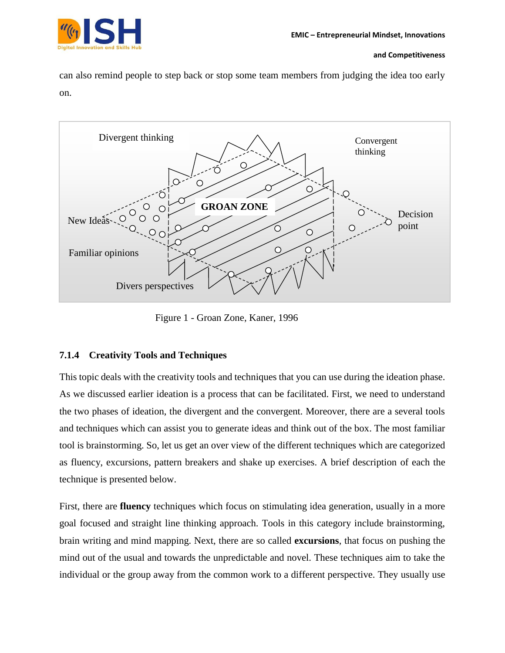

can also remind people to step back or stop some team members from judging the idea too early on.



Figure 1 - Groan Zone, Kaner, 1996

# **7.1.4 Creativity Tools and Techniques**

This topic deals with the creativity tools and techniques that you can use during the ideation phase. As we discussed earlier ideation is a process that can be facilitated. First, we need to understand the two phases of ideation, the divergent and the convergent. Moreover, there are a several tools and techniques which can assist you to generate ideas and think out of the box. The most familiar tool is brainstorming. So, let us get an over view of the different techniques which are categorized as fluency, excursions, pattern breakers and shake up exercises. A brief description of each the technique is presented below.

First, there are **fluency** techniques which focus on stimulating idea generation, usually in a more goal focused and straight line thinking approach. Tools in this category include brainstorming, brain writing and mind mapping. Next, there are so called **excursions**, that focus on pushing the mind out of the usual and towards the unpredictable and novel. These techniques aim to take the individual or the group away from the common work to a different perspective. They usually use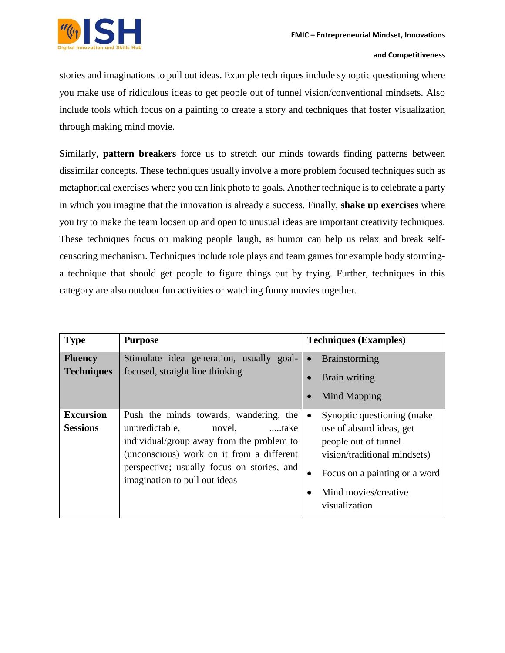

stories and imaginations to pull out ideas. Example techniques include synoptic questioning where you make use of ridiculous ideas to get people out of tunnel vision/conventional mindsets. Also include tools which focus on a painting to create a story and techniques that foster visualization through making mind movie.

Similarly, **pattern breakers** force us to stretch our minds towards finding patterns between dissimilar concepts. These techniques usually involve a more problem focused techniques such as metaphorical exercises where you can link photo to goals. Another technique is to celebrate a party in which you imagine that the innovation is already a success. Finally, **shake up exercises** where you try to make the team loosen up and open to unusual ideas are important creativity techniques. These techniques focus on making people laugh, as humor can help us relax and break selfcensoring mechanism. Techniques include role plays and team games for example body storminga technique that should get people to figure things out by trying. Further, techniques in this category are also outdoor fun activities or watching funny movies together.

| <b>Type</b>                         | <b>Purpose</b>                                                                                                                                                                                                                                      | <b>Techniques (Examples)</b>                                                                                                                                                                           |
|-------------------------------------|-----------------------------------------------------------------------------------------------------------------------------------------------------------------------------------------------------------------------------------------------------|--------------------------------------------------------------------------------------------------------------------------------------------------------------------------------------------------------|
| <b>Fluency</b><br><b>Techniques</b> | Stimulate idea generation, usually goal-<br>focused, straight line thinking                                                                                                                                                                         | Brainstorming<br>$\bullet$<br>Brain writing<br>Mind Mapping<br>$\bullet$                                                                                                                               |
| <b>Excursion</b><br><b>Sessions</b> | Push the minds towards, wandering, the<br>unpredictable,<br>novel,<br>take<br>individual/group away from the problem to<br>(unconscious) work on it from a different<br>perspective; usually focus on stories, and<br>imagination to pull out ideas | Synoptic questioning (make)<br>$\bullet$<br>use of absurd ideas, get<br>people out of tunnel<br>vision/traditional mindsets)<br>Focus on a painting or a word<br>Mind movies/creative<br>visualization |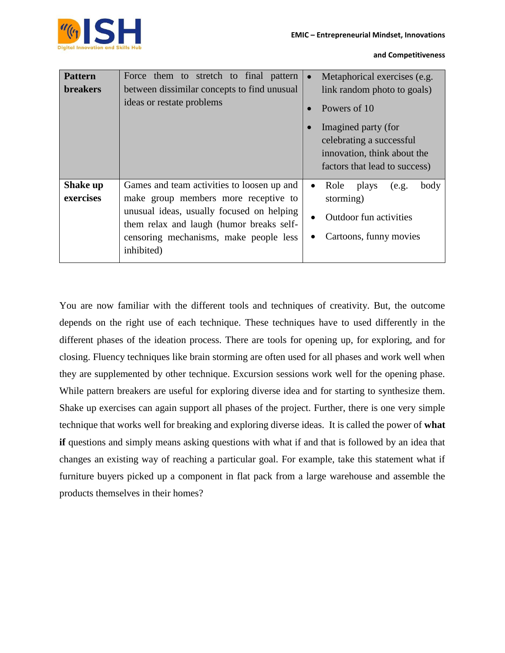

| <b>Pattern</b><br><b>breakers</b> | Force them to stretch to final pattern<br>between dissimilar concepts to find unusual<br>ideas or restate problems                                                                                                                  | Metaphorical exercises (e.g.<br>$\bullet$<br>link random photo to goals)<br>Powers of 10<br>Imagined party (for<br>celebrating a successful<br>innovation, think about the<br>factors that lead to success) |
|-----------------------------------|-------------------------------------------------------------------------------------------------------------------------------------------------------------------------------------------------------------------------------------|-------------------------------------------------------------------------------------------------------------------------------------------------------------------------------------------------------------|
| Shake up<br>exercises             | Games and team activities to loosen up and<br>make group members more receptive to<br>unusual ideas, usually focused on helping<br>them relax and laugh (humor breaks self-<br>censoring mechanisms, make people less<br>inhibited) | plays<br>Role<br>body<br>(e.g.<br>$\bullet$<br>storming)<br>Outdoor fun activities<br>Cartoons, funny movies                                                                                                |

You are now familiar with the different tools and techniques of creativity. But, the outcome depends on the right use of each technique. These techniques have to used differently in the different phases of the ideation process. There are tools for opening up, for exploring, and for closing. Fluency techniques like brain storming are often used for all phases and work well when they are supplemented by other technique. Excursion sessions work well for the opening phase. While pattern breakers are useful for exploring diverse idea and for starting to synthesize them. Shake up exercises can again support all phases of the project. Further, there is one very simple technique that works well for breaking and exploring diverse ideas. It is called the power of **what if** questions and simply means asking questions with what if and that is followed by an idea that changes an existing way of reaching a particular goal. For example, take this statement what if furniture buyers picked up a component in flat pack from a large warehouse and assemble the products themselves in their homes?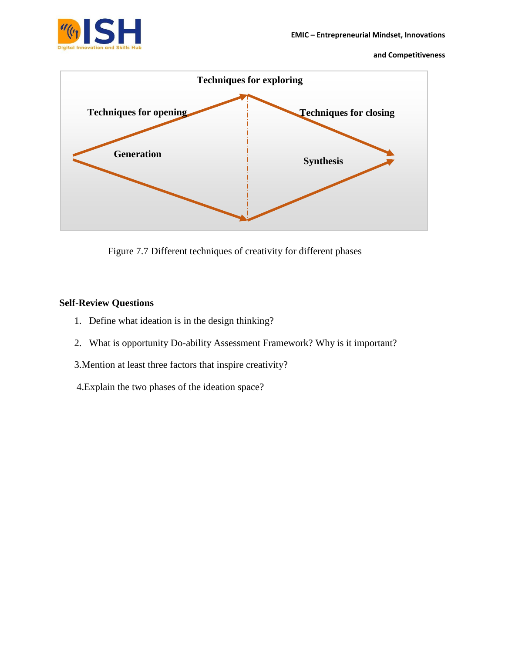

Figure 7.7 Different techniques of creativity for different phases

# **Self-Review Questions**

- 1. Define what ideation is in the design thinking?
- 2. What is opportunity Do-ability Assessment Framework? Why is it important?
- 3.Mention at least three factors that inspire creativity?
- 4.Explain the two phases of the ideation space?